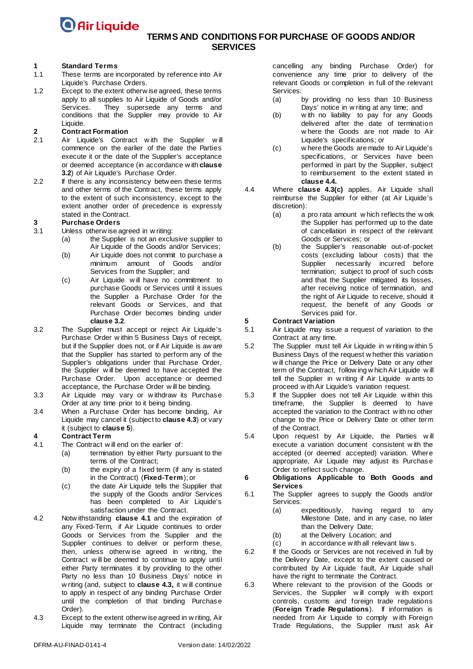### **TERMS AND CONDITIONS FOR PURCHASE OF GOODS AND/OR SERVICES**

## **1 Standard Terms**

- These terms are incorporated by reference into Air Liquide's Purchase Orders.
- 1.2 Except to the extent otherw ise agreed, these terms apply to all supplies to Air Liquide of Goods and/or<br>Services. They supersede any terms and They supersede any terms and conditions that the Supplier may provide to Air Liquide.

## **2 Contract Formation**<br> **2.1 Air Liquide's** Contra

- Air Liquide's Contract with the Supplier will commence on the earlier of the date the Parties execute it or the date of the Supplier's acceptance or deemed acceptance (in accordance w ith **clause [3.2](#page-0-0)**) of Air Liquide's Purchase Order.
- 2.2 If there is any inconsistency betw een these terms and other terms of the Contract, these terms apply to the extent of such inconsistency, except to the extent another order of precedence is expressly stated in the Contract.

## **3 Purchase Orders**

- Unless otherw ise agreed in w riting:
	- (a) the Supplier is not an exclusive supplier to Air Liquide of the Goods and/or Services;
	- (b) Air Liquide does not commit to purchase a minimum amount of Goods and/or Services from the Supplier; and
	- (c) Air Liquide w ill have no commitment to purchase Goods or Services until it issues the Supplier a Purchase Order for the relevant Goods or Services, and that Purchase Order becomes binding under **clause [3.2](#page-0-1)**.
- <span id="page-0-0"></span>3.2 The Supplier must accept or reject Air Liquide's Purchase Order w ithin 5 Business Days of receipt, but if the Supplier does not, or if Air Liquide is aw are that the Supplier has started to perform any of the Supplier's obligations under that Purchase Order, the Supplier w ill be deemed to have accepted the Purchase Order. Upon acceptance or deemed acceptance, the Purchase Order w ill be binding.
- <span id="page-0-1"></span>3.3 Air Liquide may vary or w ithdraw its Purchase Order at any time prior to it being binding.
- 3.4 When a Purchase Order has become binding, Air Liquide may cancel it (subject to **clause [4.3](#page-0-2)**) or vary it (subject to **clause [5](#page-0-3)**).

#### **4 Contract Term**

- <span id="page-0-4"></span>4.1 The Contract w ill end on the earlier of:
	- (a) termination by either Party pursuant to the terms of the Contract;
	- (b) the expiry of a fixed term (if any is stated in the Contract) (**Fixed-Term**); or
	- (c) the date Air Liquide tells the Supplier that the supply of the Goods and/or Services has been completed to Air Liquide's satisfaction under the Contract.
- 4.2 Notw ithstanding **clause [4.1](#page-0-4)** and the expiration of any Fixed-Term, if Air Liquide continues to order Goods or Services from the Supplier and the Supplier continues to deliver or perform these, then, unless otherw ise agreed in w riting, the Contract w ill be deemed to continue to apply until either Party terminates it by providing to the other Party no less than 10 Business Days' notice in w riting (and, subject to **clause [4.3,](#page-0-2)** it w ill continue to apply in respect of any binding Purchase Order until the completion of that binding Purchase Order).
- <span id="page-0-2"></span>4.3 Except to the extent otherw ise agreed in w riting, Air Liquide may terminate the Contract (including

cancelling any binding Purchase Order) for convenience any time prior to delivery of the relevant Goods or completion in full of the relevant

- Services:<br>(a) by providing no less than 10 Business Days' notice in w riting at any time; and
- (b) w ith no liability to pay for any Goods delivered after the date of termination w here the Goods are not made to Air Liquide's specifications; or
- <span id="page-0-6"></span>(c) w here the Goods are made to Air Liquide's specifications, or Services have been performed in part by the Supplier, subject to reimbursement to the extent stated in **claus[e 4.4.](#page-0-5)**
- <span id="page-0-5"></span>4.4 Where **clause [4.3\(c\)](#page-0-6)** applies, Air Liquide shall reimburse the Supplier for either (at Air Liquide's discretion):
	- (a) a pro rata amount w hich reflects the w ork the Supplier has performed up to the date of cancellation in respect of the relevant Goods or Services; or
	- (b) the Supplier's reasonable out-of-pocket costs (excluding labour costs) that the Supplier necessarily incurred before termination; subject to proof of such costs and that the Supplier mitigated its losses, after receiving notice of termination, and the right of Air Liquide to receive, should it request, the benefit of any Goods or Services paid for.

## <span id="page-0-3"></span>**5 Contract Variation**<br>5.1 **Air Liquide may issue**

- Air Liquide may issue a request of variation to the Contract at any time.
- 5.2 The Supplier must tell Air Liquide in w riting w ithin 5 Business Days of the request w hether this variation w ill change the Price or Delivery Date or any other term of the Contract, follow ing w hich Air Liquide w ill tell the Supplier in w riting if Air Liquide w ants to proceed w ith Air Liquide's variation request.
- 5.3 If the Supplier does not tell Air Liquide w ithin this timeframe, the Supplier is deemed to have accepted the variation to the Contract w ith no other change to the Price or Delivery Date or other term of the Contract.
- 5.4 Upon request by Air Liquide, the Parties w ill execute a variation document consistent w ith the accepted (or deemed accepted) variation. Where appropriate, Air Liquide may adjust its Purchase Order to reflect such change.
- **6 Obligations Applicable to Both Goods and Services**
- 6.1 The Supplier agrees to supply the Goods and/or Services:
	- (a) expeditiously, having regard to any Milestone Date, and in any case, no later than the Delivery Date;
	- (b) at the Delivery Location; and
	- (c) in accordance w ith all relevant law s.
- 6.2 If the Goods or Services are not received in full by the Delivery Date, except to the extent caused or contributed by Air Liquide fault, Air Liquide shall have the right to terminate the Contract.
- 6.3 Where relevant to the provision of the Goods or Services, the Supplier w ill comply w ith export controls, customs and foreign trade regulations (**Foreign Trade Regulations**). If information is needed from Air Liquide to comply w ith Foreign Trade Regulations, the Supplier must ask Air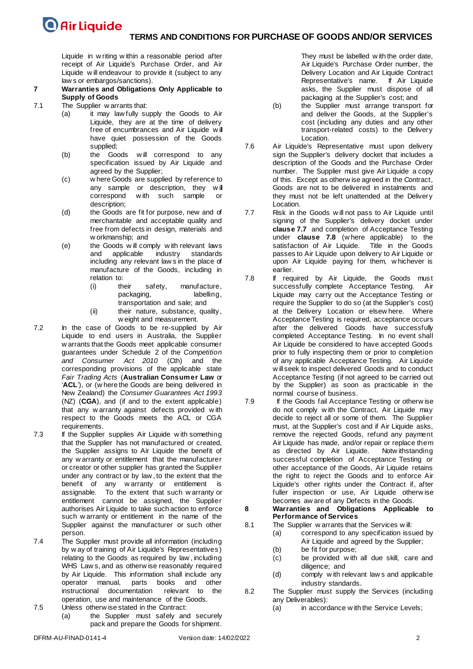Liquide in w riting w ithin a reasonable period after receipt of Air Liquide's Purchase Order, and Air Liquide w ill endeavour to provide it (subject to any law s or embargos/sanctions).

#### **7 Warranties and Obligations Only Applicable to Supply of Goods**

- <span id="page-1-2"></span>7.1 The Supplier w arrants that:
	- (a) it may law fully supply the Goods to Air Liquide, they are at the time of delivery free of encumbrances and Air Liquide will have quiet possession of the Goods supplied;
	- (b) the Goods w ill correspond to any specification issued by Air Liquide and agreed by the Supplier;
	- (c) w here Goods are supplied by reference to any sample or description, they w ill correspond w ith such sample or description;
	- (d) the Goods are fit for purpose, new and of merchantable and acceptable quality and free from defects in design, materials and w orkmanship; and
	- (e) the Goods w ill comply w ith relevant laws and applicable industry standards including any relevant law s in the place of manufacture of the Goods, including in relation to:
		- (i) their safety, manufacture, packaging, labelling, transportation and sale; and
		- (ii) their nature, substance, quality, w eight and measurement.
- <span id="page-1-3"></span>7.2 In the case of Goods to be re-supplied by Air Liquide to end users in Australia, the Supplier w arrants that the Goods meet applicable consumer guarantees under Schedule 2 of the *Competition and Consumer Act 2010* (Cth) and the corresponding provisions of the applicable state *Fair Trading Acts* (**Australian Consumer Law** or '**ACL**'), or (w here the Goods are being delivered in New Zealand) the *Consumer Guarantees Act 1993*  (NZ) (**CGA**), and (if and to the extent applicable) that any w arranty against defects provided w ith respect to the Goods meets the ACL or CGA requirements.
- 7.3 If the Supplier supplies Air Liquide with something that the Supplier has not manufactured or created, the Supplier assigns to Air Liquide the benefit of any w arranty or entitlement that the manufacturer or creator or other supplier has granted the Supplier under any contract or by law , to the extent that the benefit of any w arranty or entitlement is assignable. To the extent that such w arranty or entitlement cannot be assigned, the Supplier authorises Air Liquide to take such action to enforce such w arranty or entitlement in the name of the Supplier against the manufacturer or such other person.
- 7.4 The Supplier must provide all information (including by w ay of training of Air Liquide's Representatives) relating to the Goods as required by law , including WHS Law s, and as otherw ise reasonably required by Air Liquide. This information shall include any operator manual, parts books and other<br>instructional documentation relevant to the instructional documentation operation, use and maintenance of the Goods.
- 7.5 Unless otherw ise stated in the Contract: (a) the Supplier must safely and securely
	- pack and prepare the Goods for shipment.

They must be labelled w ith the order date, Air Liquide's Purchase Order number, the Delivery Location and Air Liquide Contract Representative's name. If Air Liquide asks, the Supplier must dispose of all packaging at the Supplier's cost; and

- (b) the Supplier must arrange transport for and deliver the Goods, at the Supplier's cost (including any duties and any other transport-related costs) to the Delivery Location.
- 7.6 Air Liquide's Representative must upon delivery sign the Supplier's delivery docket that includes a description of the Goods and the Purchase Order number. The Supplier must give Air Liquide a copy of this. Except as otherw ise agreed in the Contract, Goods are not to be delivered in instalments and they must not be left unattended at the Delivery Location.
- <span id="page-1-0"></span>7.7 Risk in the Goods w ill not pass to Air Liquide until signing of the Supplier's delivery docket under **clause [7.7](#page-1-0)** and completion of Acceptance Testing under **clause [7.8](#page-1-1)** (w here applicable) to the satisfaction of Air Liquide. passes to Air Liquide upon delivery to Air Liquide or upon Air Liquide paying for them, w hichever is earlier.
- <span id="page-1-1"></span>7.8 If required by Air Liquide, the Goods must successfully complete Acceptance Testing. Air Liquide may carry out the Acceptance Testing or require the Supplier to do so (at the Supplier's cost) at the Delivery Location or elsew here. Where Acceptance Testing is required, acceptance occurs after the delivered Goods have successfully completed Acceptance Testing. In no event shall Air Liquide be considered to have accepted Goods prior to fully inspecting them or prior to completion of any applicable Acceptance Testing. Air Liquide w ill seek to inspect delivered Goods and to conduct Acceptance Testing (if not agreed to be carried out by the Supplier) as soon as practicable in the normal course of business.
- 7.9 If the Goods fail Acceptance Testing or otherw ise do not comply w ith the Contract, Air Liquide may decide to reject all or some of them. The Supplier must, at the Supplier's cost and if Air Liquide asks, remove the rejected Goods, refund any payment Air Liquide has made, and/or repair or replace them as directed by Air Liquide. successful completion of Acceptance Testing or other acceptance of the Goods, Air Liquide retains the right to reject the Goods and to enforce Air Liquide's other rights under the Contract if, after fuller inspection or use, Air Liquide otherw ise becomes aw are of any Defects in the Goods.
- **8 Warranties and Obligations Applicable to Performance of Services**
- <span id="page-1-4"></span>8.1 The Supplier w arrants that the Services will:
	- (a) correspond to any specification issued by Air Liquide and agreed by the Supplier;
	- (b) be fit for purpose;
	- (c) be provided w ith all due skill, care and diligence; and
	- (d) comply w ith relevant law s and applicable industry standards.
- 8.2 The Supplier must supply the Services (including any Deliverables):
	- (a) in accordance w ith the Service Levels;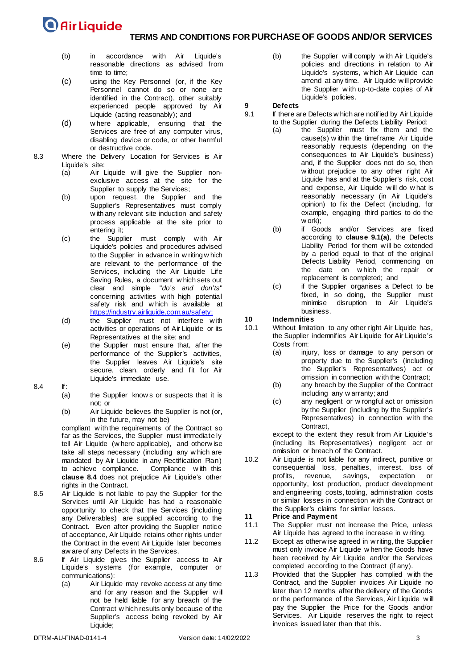### **TERMS AND CONDITIONS FOR PURCHASE OF GOODS AND/OR SERVICES**

- (b) in accordance w ith Air Liquide's reasonable directions as advised from time to time;
- (c) using the Key Personnel (or, if the Key Personnel cannot do so or none are identified in the Contract), other suitably experienced people approved by Air Liquide (acting reasonably); and
- (d) w here applicable, ensuring that the Services are free of any computer virus, disabling device or code, or other harmful or destructive code.
- 8.3 Where the Delivery Location for Services is Air Liquide's site:
	- (a) Air Liquide w ill give the Supplier nonexclusive access at the site for the Supplier to supply the Services;
	- (b) upon request, the Supplier and the Supplier's Representatives must comply w ith any relevant site induction and safety process applicable at the site prior to entering it;
	- (c) the Supplier must comply w ith Air Liquide's policies and procedures advised to the Supplier in advance in w riting w hich are relevant to the performance of the Services, including the Air Liquide Life Saving Rules, a document w hich sets out clear and simple "*do's and don'ts*" concerning activities w ith high potential safety risk and which is available at [https://industry.airliquide.com.au/safety;](https://industry.airliquide.com.au/safety)
	- (d) the Supplier must not interfere with activities or operations of Air Liquide or its Representatives at the site; and
	- (e) the Supplier must ensure that, after the performance of the Supplier's activities, the Supplier leaves Air Liquide's site secure, clean, orderly and fit for Air Liquide's immediate use.
- <span id="page-2-0"></span>8.4 If:
	- the Supplier know s or suspects that it is not; or
	- (b) Air Liquide believes the Supplier is not (or, in the future, may not be)

compliant w ith the requirements of the Contract so far as the Services, the Supplier must immediate ly tell Air Liquide (w here applicable), and otherw ise take all steps necessary (including any w hich are mandated by Air Liquide in any Rectification Plan)<br>to achieve compliance. Compliance with this to achieve compliance. **clause [8.4](#page-2-0)** does not prejudice Air Liquide's other rights in the Contract.

- 8.5 Air Liquide is not liable to pay the Supplier for the Services until Air Liquide has had a reasonable opportunity to check that the Services (including any Deliverables) are supplied according to the Contract. Even after providing the Supplier notice of acceptance, Air Liquide retains other rights under the Contract in the event Air Liquide later becomes aw are of any Defects in the Services.
- 8.6 If Air Liquide gives the Supplier access to Air Liquide's systems (for example, computer or communications):
	- (a) Air Liquide may revoke access at any time and for any reason and the Supplier w ill not be held liable for any breach of the Contract w hich results only because of the Supplier's access being revoked by Air Liquide;

(b) the Supplier w ill comply w ith Air Liquide's policies and directions in relation to Air Liquide's systems, w hich Air Liquide can amend at any time. Air Liquide w ill provide the Supplier w ith up-to-date copies of Air Liquide's policies.

## **9 Defects**

- <span id="page-2-1"></span>If there are Defects w hich are notified by Air Liquide to the Supplier during the Defects Liability Period:
	- (a) the Supplier must fix them and the cause(s) w ithin the timeframe Air Liquide reasonably requests (depending on the consequences to Air Liquide's business) and, if the Supplier does not do so, then w ithout prejudice to any other right Air Liquide has and at the Supplier's risk, cost and expense, Air Liquide w ill do w hat is reasonably necessary (in Air Liquide's opinion) to fix the Defect (including, for example, engaging third parties to do the w ork);
		- (b) if Goods and/or Services are fixed according to **clause [9.1\(a\)](#page-2-1)**, the Defects Liability Period for them w ill be extended by a period equal to that of the original Defects Liability Period, commencing on the date on w hich the repair or replacement is completed; and
		- (c) if the Supplier organises a Defect to be fixed, in so doing, the Supplier must minimise disruption to Air Liquide's business.

## **10 Indemnities**

- Without limitation to any other right Air Liquide has, the Supplier indemnifies Air Liquide for Air Liquide's Costs from:
	- (a) injury, loss or damage to any person or property due to the Supplier's (including the Supplier's Representatives) act or omission in connection w ith the Contract;
	- (b) any breach by the Supplier of the Contract including any w arranty; and
	- (c) any negligent or w rongful act or omission by the Supplier (including by the Supplier's Representatives) in connection w ith the Contract,

except to the extent they result from Air Liquide's (including its Representatives) negligent act or omission or breach of the Contract.

10.2 Air Liquide is not liable for any indirect, punitive or consequential loss, penalties, interest, loss of profits, revenue, savings, expectation or opportunity, lost production, product development and engineering costs, tooling, administration costs or similar losses in connection w ith the Contract or the Supplier's claims for similar losses.

## **11 Price and Payment**

- The Supplier must not increase the Price, unless Air Liquide has agreed to the increase in w riting.
- 11.2 Except as otherw ise agreed in w riting, the Supplier must only invoice Air Liquide w hen the Goods have been received by Air Liquide and/or the Services completed according to the Contract (if any).
- 11.3 Provided that the Supplier has complied w ith the Contract, and the Supplier invoices Air Liquide no later than 12 months after the delivery of the Goods or the performance of the Services, Air Liquide w ill pay the Supplier the Price for the Goods and/or Services. Air Liquide reserves the right to reject invoices issued later than that this.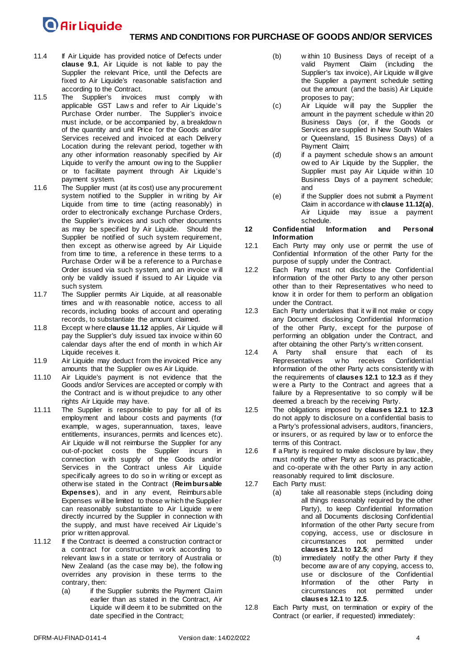### **TERMS AND CONDITIONS FOR PURCHASE OF GOODS AND/OR SERVICES**

- 11.4 If Air Liquide has provided notice of Defects under **clause [9.1](#page-2-1)**, Air Liquide is not liable to pay the Supplier the relevant Price, until the Defects are fixed to Air Liquide's reasonable satisfaction and according to the Contract.
- <span id="page-3-6"></span>11.5 The Supplier's invoices must comply w ith applicable GST Law s and refer to Air Liquide's Purchase Order number. The Supplier's invoice must include, or be accompanied by, a breakdow n of the quantity and unit Price for the Goods and/or Services received and invoiced at each Delivery Location during the relevant period, together w ith any other information reasonably specified by Air Liquide to verify the amount ow ing to the Supplier or to facilitate payment through Air Liquide's payment system.
- 11.6 The Supplier must (at its cost) use any procurement system notified to the Supplier in w riting by Air Liquide from time to time (acting reasonably) in order to electronically exchange Purchase Orders, the Supplier's invoices and such other documents as may be specified by Air Liquide. Should the Supplier be notified of such system requirement, then except as otherw ise agreed by Air Liquide from time to time, a reference in these terms to a Purchase Order w ill be a reference to a Purchase Order issued via such system, and an invoice w ill only be validly issued if issued to Air Liquide via such system.
- 11.7 The Supplier permits Air Liquide, at all reasonable times and w ith reasonable notice, access to all records, including books of account and operating records, to substantiate the amount claimed.
- 11.8 Except w here **clause [11.12](#page-3-0)** applies, Air Liquide w ill pay the Supplier's duly issued tax invoice w ithin 60 calendar days after the end of month in w hich Air Liquide receives it.
- 11.9 Air Liquide may deduct from the invoiced Price any amounts that the Supplier ow es Air Liquide.
- 11.10 Air Liquide's payment is not evidence that the Goods and/or Services are accepted or comply w ith the Contract and is w ithout prejudice to any other rights Air Liquide may have.
- 11.11 The Supplier is responsible to pay for all of its employment and labour costs and payments (for example, w ages, superannuation, taxes, leave entitlements, insurances, permits and licences etc). Air Liquide w ill not reimburse the Supplier for any out-of-pocket costs the Supplier incurs in connection w ith supply of the Goods and/or Services in the Contract unless Air Liquide specifically agrees to do so in w riting or except as otherw ise stated in the Contract (**Reimbursable Expenses**), and in any event, Reimbursable Expenses w ill be limited to those w hich the Supplier can reasonably substantiate to Air Liquide w ere directly incurred by the Supplier in connection w ith the supply, and must have received Air Liquide's prior w ritten approval.
- <span id="page-3-1"></span><span id="page-3-0"></span>11.12 If the Contract is deemed a construction contract or a contract for construction w ork according to relevant law s in a state or territory of Australia or New Zealand (as the case may be), the follow ing overrides any provision in these terms to the contrary, then:
	- (a) if the Supplier submits the Payment Claim earlier than as stated in the Contract, Air Liquide w ill deem it to be submitted on the date specified in the Contract;
- (b) w ithin 10 Business Days of receipt of a valid Payment Claim (including the Supplier's tax invoice), Air Liquide w ill give the Supplier a payment schedule setting out the amount (and the basis) Air Liquide proposes to pay;
- (c) Air Liquide w ill pay the Supplier the amount in the payment schedule w ithin 20 Business Days (or, if the Goods or Services are supplied in New South Wales or Queensland, 15 Business Days) of a Payment Claim;
- (d) if a payment schedule show s an amount ow ed to Air Liquide by the Supplier, the Supplier must pay Air Liquide w ithin 10 Business Days of a payment schedule; and
- (e) if the Supplier does not submit a Payment Claim in accordance w ith **clause 11.1[2\(a\)](#page-3-1)**, Air Liquide may issue a payment schedule.

#### <span id="page-3-7"></span>**12 Confidential Information and Personal Information**

- <span id="page-3-2"></span>12.1 Each Party may only use or permit the use of Confidential Information of the other Party for the purpose of supply under the Contract.
- 12.2 Each Party must not disclose the Confidential Information of the other Party to any other person other than to their Representatives w ho need to know it in order for them to perform an obligation under the Contract.
- <span id="page-3-3"></span>12.3 Each Party undertakes that it w ill not make or copy any Document disclosing Confidential Information of the other Party, except for the purpose of performing an obligation under the Contract, and after obtaining the other Party's w ritten consent.
- 12.4 A Party shall ensure that each of its Representatives w ho receives Confidential Information of the other Party acts consistently w ith the requirements of **clauses [12.1](#page-3-2)** to **[12.3](#page-3-3)** as if they w ere a Party to the Contract and agrees that a failure by a Representative to so comply w ill be deemed a breach by the receiving Party.
- <span id="page-3-4"></span>12.5 The obligations imposed by **clauses [12.1](#page-3-2)** to **[12.3](#page-3-3)** do not apply to disclosure on a confidential basis to a Party's professional advisers, auditors, financiers, or insurers, or as required by law or to enforce the terms of this Contract.
- 12.6 If a Party is required to make disclosure by law, they must notify the other Party as soon as practicable, and co-operate w ith the other Party in any action reasonably required to limit disclosure.
- 12.7 Each Party must:
	- (a) take all reasonable steps (including doing all things reasonably required by the other Party), to keep Confidential Information and all Documents disclosing Confidential Information of the other Party secure from copying, access, use or disclosure in circumstances not permitted under **clauses [12.1](#page-3-2)** to **[12.5](#page-3-4)**; and
		- (b) immediately notify the other Party if they become aw are of any copying, access to, use or disclosure of the Confidential Information of the other Party in<br>circumstances not permitted under circumstances not permitted **clause[s 12.1](#page-3-2)** to **[12.5](#page-3-4)**.
- <span id="page-3-5"></span>12.8 Each Party must, on termination or expiry of the Contract (or earlier, if requested) immediately: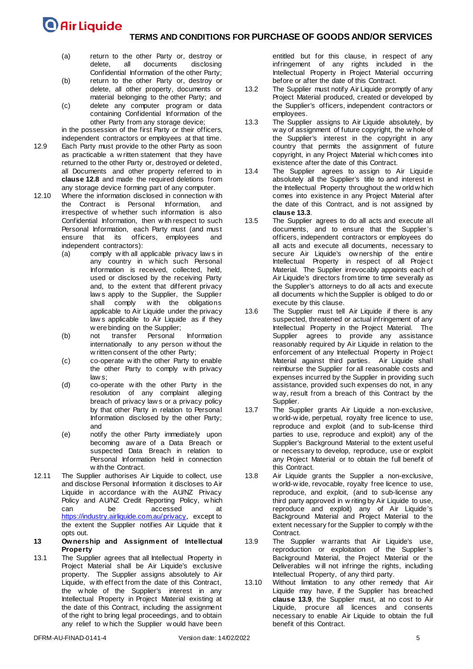- (a) return to the other Party or, destroy or<br>delete, all documents disclosing documents Confidential Information of the other Party;
- (b) return to the other Party or, destroy or delete, all other property, documents or material belonging to the other Party; and
- (c) delete any computer program or data containing Confidential Information of the other Party from any storage device;
- in the possession of the first Party or their officers, independent contractors or employees at that time.
- 12.9 Each Party must provide to the other Party as soon as practicable a w ritten statement that they have returned to the other Party or, destroyed or deleted, all Documents and other property referred to in **clause [12.8](#page-3-5)** and made the required deletions from any storage device forming part of any computer.
- 12.10 Where the information disclosed in connection w ith the Contract is Personal Information, and irrespective of w hether such information is also Confidential Information, then w ith respect to such Personal Information, each Party must (and must ensure that its officers, employees and officers, employees and independent contractors):
	- (a) comply w ith all applicable privacy law s in any country in w hich such Personal Information is received, collected, held, used or disclosed by the receiving Party and, to the extent that different privacy law s apply to the Supplier, the Supplier shall comply w ith the obligations applicable to Air Liquide under the privacy law s applicable to Air Liquide as if they w ere binding on the Supplier;
	- (b) not transfer Personal Information internationally to any person w ithout the w ritten consent of the other Party;
	- (c) co-operate w ith the other Party to enable the other Party to comply w ith privacy law s;
	- (d) co-operate w ith the other Party in the resolution of any complaint alleging breach of privacy law s or a privacy policy by that other Party in relation to Personal Information disclosed by the other Party; and
	- (e) notify the other Party immediately upon becoming aw are of a Data Breach or suspected Data Breach in relation to Personal Information held in connection w ith the Contract.
- 12.11 The Supplier authorises Air Liquide to collect, use and disclose Personal Information it discloses to Air Liquide in accordance w ith the AU/NZ Privacy Policy and AU/NZ Credit Reporting Policy, which<br>can be accessed at can be accessed at https://industry.airliquide.com.au/privacy, except to the extent the Supplier notifies Air Liquide that it opts out.
- **13 Ownership and Assignment of Intellectual Property**
- 13.1 The Supplier agrees that all Intellectual Property in Project Material shall be Air Liquide's exclusive property. The Supplier assigns absolutely to Air Liquide, w ith effect from the date of this Contract, the w hole of the Supplier's interest in any Intellectual Property in Project Material existing at the date of this Contract, including the assignment of the right to bring legal proceedings, and to obtain any relief to w hich the Supplier w ould have been

entitled but for this clause, in respect of any infringement of any rights included in the Intellectual Property in Project Material occurring before or after the date of this Contract.

- 13.2 The Supplier must notify Air Liquide promptly of any Project Material produced, created or developed by the Supplier's officers, independent contractors or employees.
- <span id="page-4-0"></span>13.3 The Supplier assigns to Air Liquide absolutely, by w ay of assignment of future copyright, the w hole of the Supplier's interest in the copyright in any country that permits the assignment of future copyright, in any Project Material w hich comes into existence after the date of this Contract.
- 13.4 The Supplier agrees to assign to Air Liquide absolutely all the Supplier's title to and interest in the Intellectual Property throughout the w orld w hich comes into existence in any Project Material after the date of this Contract, and is not assigned by **clause [13.3](#page-4-0)**.
- 13.5 The Supplier agrees to do all acts and execute all documents, and to ensure that the Supplier's officers, independent contractors or employees do all acts and execute all documents, necessary to secure Air Liquide's ow nership of the entire Intellectual Property in respect of all Project Material. The Supplier irrevocably appoints each of Air Liquide's directors from time to time severally as the Supplier's attorneys to do all acts and execute all documents w hich the Supplier is obliged to do or execute by this clause.
- 13.6 The Supplier must tell Air Liquide if there is any suspected, threatened or actual infringement of any Intellectual Property in the Project Material. The Supplier agrees to provide any assistance reasonably required by Air Liquide in relation to the enforcement of any Intellectual Property in Project Material against third parties. Air Liquide shall reimburse the Supplier for all reasonable costs and expenses incurred by the Supplier in providing such assistance, provided such expenses do not, in any w ay, result from a breach of this Contract by the Supplier.
- 13.7 The Supplier grants Air Liquide a non-exclusive, w orld-w ide, perpetual, royalty free licence to use, reproduce and exploit (and to sub-license third parties to use, reproduce and exploit) any of the Supplier's Background Material to the extent useful or necessary to develop, reproduce, use or exploit any Project Material or to obtain the full benefit of this Contract.
- 13.8 Air Liquide grants the Supplier a non-exclusive, w orld-w ide, revocable, royalty free licence to use, reproduce, and exploit, (and to sub-license any third party approved in w riting by Air Liquide to use, reproduce and exploit) any of Air Liquide's Background Material and Project Material to the extent necessary for the Supplier to comply w ith the Contract.
- <span id="page-4-1"></span>13.9 The Supplier w arrants that Air Liquide's use, reproduction or exploitation of the Supplier's Background Material, the Project Material or the Deliverables w ill not infringe the rights, including Intellectual Property, of any third party.
- 13.10 Without limitation to any other remedy that Air Liquide may have, if the Supplier has breached **clause [13.9](#page-4-1)**, the Supplier must, at no cost to Air Liquide, procure all licences and consents necessary to enable Air Liquide to obtain the full benefit of this Contract.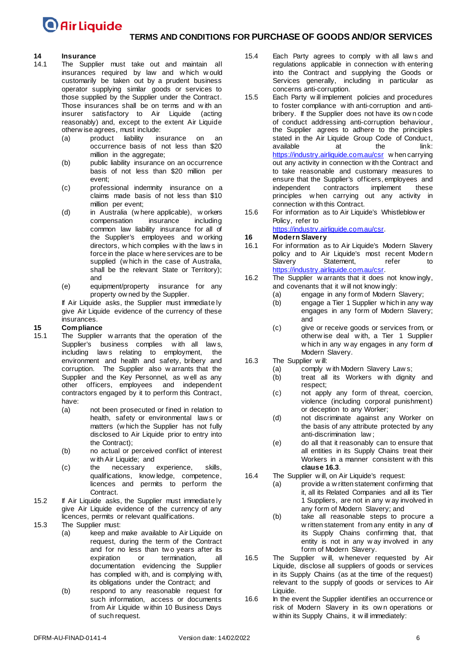### **TERMS AND CONDITIONS FOR PURCHASE OF GOODS AND/OR SERVICES**

## **14 Insurance**

- The Supplier must take out and maintain all insurances required by law and w hich w ould customarily be taken out by a prudent business operator supplying similar goods or services to those supplied by the Supplier under the Contract. Those insurances shall be on terms and w ith an insurer satisfactory to Air Liquide (acting reasonably) and, except to the extent Air Liquide otherw ise agrees, must include:
	- (a) product liability insurance on an occurrence basis of not less than \$20 million in the aggregate;
	- (b) public liability insurance on an occurrence basis of not less than \$20 million per event;
	- (c) professional indemnity insurance on a claims made basis of not less than \$10 million per event;
	- (d) in Australia (w here applicable), w orkers<br>
	compensation insurance including compensation common law liability insurance for all of the Supplier's employees and w orking directors, w hich complies w ith the law s in force in the place w here services are to be supplied (w hich in the case of Australia, shall be the relevant State or Territory); and
	- (e) equipment/property insurance for any property ow ned by the Supplier.

If Air Liquide asks, the Supplier must immediate ly give Air Liquide evidence of the currency of these insurances.

## <span id="page-5-1"></span>**15 Compliance**

- The Supplier w arrants that the operation of the Supplier's business complies with all law s, including law s relating to employment, the environment and health and safety, bribery and corruption. The Supplier also w arrants that the Supplier and the Key Personnel, as w ell as any other officers, employees and independent contractors engaged by it to perform this Contract, have:
	- (a) not been prosecuted or fined in relation to health, safety or environmental law s or matters (w hich the Supplier has not fully disclosed to Air Liquide prior to entry into the Contract);
	- (b) no actual or perceived conflict of interest w ith Air Liquide; and
	- (c) the necessary experience, skills, qualifications, know ledge, competence, licences and permits to perform the Contract.
- 15.2 If Air Liquide asks, the Supplier must immediate ly give Air Liquide evidence of the currency of any licences, permits or relevant qualifications.
- 15.3 The Supplier must:
	- (a) keep and make available to Air Liquide on request, during the term of the Contract and for no less than tw o years after its expiration or termination, all documentation evidencing the Supplier has complied w ith, and is complying w ith, its obligations under the Contract; and
	- (b) respond to any reasonable request for such information, access or documents from Air Liquide w ithin 10 Business Days of such request.
- 15.4 Each Party agrees to comply with all laws and regulations applicable in connection w ith entering into the Contract and supplying the Goods or Services generally, including in particular as concerns anti-corruption.
- 15.5 Each Party w ill implement policies and procedures to foster compliance w ith anti-corruption and antibribery. If the Supplier does not have its ow n code of conduct addressing anti-corruption behaviour, the Supplier agrees to adhere to the principles stated in the Air Liquide Group Code of Conduct, available at the link: https://industry.airliquide.com.au/csr w hen carrying out any activity in connection w ith the Contract and to take reasonable and customary measures to ensure that the Supplier's officers, employees and<br>independent contractors implement these independent contractors implement principles w hen carrying out any activity in connection w ith this Contract.
- 15.6 For information as to Air Liquide's Whistleblow er Policy, refer to

https://industry.airliquide.com.au/csr.

## <span id="page-5-2"></span>**16 Modern Slavery**

- For information as to Air Liquide's Modern Slavery policy and to Air Liquide's most recent Modern<br>Slavery Statement. refer to Statement, refer to https://industry.airliquide.com.au/csr.
- 16.2 The Supplier w arrants that it does not know ingly, and covenants that it w ill not know ingly:
	- (a) engage in any form of Modern Slavery;
	- (b) engage a Tier 1 Supplier w hich in any way engages in any form of Modern Slavery; and
	- (c) give or receive goods or services from, or otherw ise deal w ith, a Tier 1 Supplier w hich in any w ay engages in any form of Modern Slavery.
- <span id="page-5-0"></span>16.3 The Supplier w ill:
	- (a) comply with Modern Slavery Law s;<br>(b) treat all its Workers with dignity
	- treat all its Workers with dignity and respect;
	- (c) not apply any form of threat, coercion, violence (including corporal punishment) or deception to any Worker;
	- (d) not discriminate against any Worker on the basis of any attribute protected by any anti-discrimination law ;
	- (e) do all that it reasonably can to ensure that all entities in its Supply Chains treat their Workers in a manner consistent w ith this **claus[e 16.3](#page-5-0)**.
- 16.4 The Supplier w ill, on Air Liquide's request:
	- (a) provide a w ritten statement confirming that it, all its Related Companies and all its Tier 1 Suppliers, are not in any w ay involved in any form of Modern Slavery; and
	- (b) take all reasonable steps to procure a w ritten statement from any entity in any of its Supply Chains confirming that, that entity is not in any w ay involved in any form of Modern Slavery.
- 16.5 The Supplier w ill, w henever requested by Air Liquide, disclose all suppliers of goods or services in its Supply Chains (as at the time of the request) relevant to the supply of goods or services to Air Liquide.
- 16.6 In the event the Supplier identifies an occurrence or risk of Modern Slavery in its ow n operations or w ithin its Supply Chains, it w ill immediately: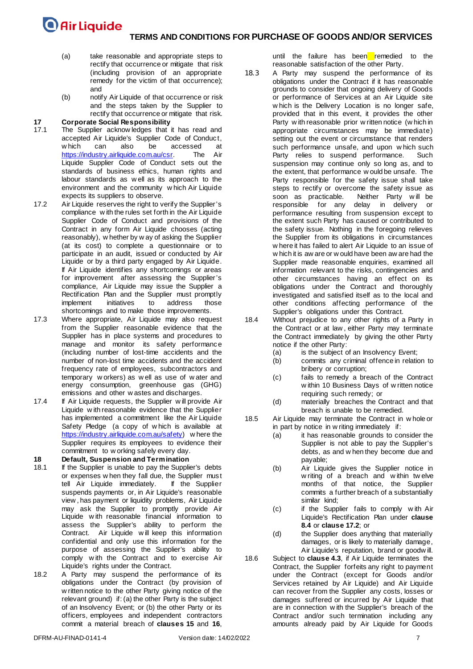- (a) take reasonable and appropriate steps to rectify that occurrence or mitigate that risk (including provision of an appropriate remedy for the victim of that occurrence); and
- (b) notify Air Liquide of that occurrence or risk and the steps taken by the Supplier to rectify that occurrence or mitigate that risk.

## **17 Corporate Social Responsibility**

- The Supplier acknow ledges that it has read and accepted Air Liquide's [Supplier Code of Conduct,](https://www.airliquide.com/sites/airliquide.com/files/2018/06/01/en-air-liquide-supplier-s-code-of-conduct-2018.pdf) which can also be accessed at  $\frac{h_{\text{th}}}{h_{\text{th}}}$  https://industry.airliquide.com.au/csr. The Air https://industry.airliquide.com.au/csr. Liquide Supplier Code of Conduct sets out the standards of business ethics, human rights and labour standards as w ell as its approach to the environment and the community w hich Air Liquide expects its suppliers to observe.
- <span id="page-6-0"></span>17.2 Air Liquide reserves the right to verify the Supplier's compliance w ith the rules set forth in the Air Liquide Supplier Code of Conduct and provisions of the Contract in any form Air Liquide chooses (acting reasonably), w hether by w ay of asking the Supplier (at its cost) to complete a questionnaire or to participate in an audit, issued or conducted by Air Liquide or by a third party engaged by Air Liquide. If Air Liquide identifies any shortcomings or areas for improvement after assessing the Supplier's compliance, Air Liquide may issue the Supplier a Rectification Plan and the Supplier must promptly implement initiatives to address those shortcomings and to make those improvements.
- 17.3 Where appropriate, Air Liquide may also request from the Supplier reasonable evidence that the Supplier has in place systems and procedures to manage and monitor its safety performance (including number of lost-time accidents and the number of non-lost time accidents and the accident frequency rate of employees, subcontractors and temporary w orkers) as w ell as use of w ater and energy consumption, greenhouse gas (GHG) emissions and other w astes and discharges.
- 17.4 If Air Liquide requests, the Supplier will provide Air Liquide w ith reasonable evidence that the Supplier has implemented a commitment like the Air Liquide Safety Pledge (a copy of w hich is available at [https://industry.airliquide.com.au/safety\)](https://industry.airliquide.com.au/safety) where the Supplier requires its employees to evidence their commitment to w orking safely every day.

### **18 Default, Suspension and Termination**

- If the Supplier is unable to pay the Supplier's debts or expenses w hen they fall due, the Supplier must tell Air Liquide immediately. If the Supplier suspends payments or, in Air Liquide's reasonable view , has payment or liquidity problems, Air Liquide may ask the Supplier to promptly provide Air Liquide w ith reasonable financial information to assess the Supplier's ability to perform the Contract. Air Liquide w ill keep this information confidential and only use this information for the purpose of assessing the Supplier's ability to comply w ith the Contract and to exercise Air Liquide's rights under the Contract.
- 18.2 A Party may suspend the performance of its obligations under the Contract (by provision of w ritten notice to the other Party giving notice of the relevant ground) if: (a) the other Party is the subject of an Insolvency Event; or (b) the other Party or its officers, employees and independent contractors commit a material breach of **clauses [15](#page-5-1)** and **[16](#page-5-2)**,

until the failure has been remedied to the reasonable satisfaction of the other Party.

- 18.3 A Party may suspend the performance of its obligations under the Contract if it has reasonable grounds to consider that ongoing delivery of Goods or performance of Services at an Air Liquide site w hich is the Delivery Location is no longer safe, provided that in this event, it provides the other Party w ith reasonable prior w ritten notice (w hich in appropriate circumstances may be immediate) setting out the event or circumstance that renders such performance unsafe, and upon w hich such Party relies to suspend performance. Such suspension may continue only so long as, and to the extent, that performance w ould be unsafe. The Party responsible for the safety issue shall take steps to rectify or overcome the safety issue as<br>soon as practicable. Neither Party will be Neither Party will be responsible for any delay in delivery or performance resulting from suspension except to the extent such Party has caused or contributed to the safety issue. Nothing in the foregoing relieves the Supplier from its obligations in circumstances w here it has failed to alert Air Liquide to an issue of w hich it is aw are or w ould have been aw are had the Supplier made reasonable enquiries, examined all information relevant to the risks, contingencies and other circumstances having an effect on its obligations under the Contract and thoroughly investigated and satisfied itself as to the local and other conditions affecting performance of the Supplier's obligations under this Contract.
- 18.4 Without prejudice to any other rights of a Party in the Contract or at law , either Party may terminate the Contract immediately by giving the other Party notice if the other Party:
	- (a) is the subject of an Insolvency Event;
	- (b) commits any criminal offence in relation to bribery or corruption;
	- (c) fails to remedy a breach of the Contract w ithin 10 Business Days of w ritten notice requiring such remedy; or
	- (d) materially breaches the Contract and that breach is unable to be remedied.
- 18.5 Air Liquide may terminate the Contract in w hole or in part by notice in w riting immediately if:
	- (a) it has reasonable grounds to consider the Supplier is not able to pay the Supplier's debts, as and w hen they become due and payable;
	- (b) Air Liquide gives the Supplier notice in w riting of a breach and within twelve months of that notice, the Supplier commits a further breach of a substantially similar kind;
	- (c) if the Supplier fails to comply w ith Air Liquide's Rectification Plan under **clause [8.4](#page-2-0)** or **clause [17.2](#page-6-0)**; or
	- (d) the Supplier does anything that materially damages, or is likely to materially damage, Air Liquide's reputation, brand or goodw ill.
- 18.6 Subject to **clause [4.3](#page-0-2)**, if Air Liquide terminates the Contract, the Supplier forfeits any right to payment under the Contract (except for Goods and/or Services retained by Air Liquide) and Air Liquide can recover from the Supplier any costs, losses or damages suffered or incurred by Air Liquide that are in connection w ith the Supplier's breach of the Contract and/or such termination including any amounts already paid by Air Liquide for Goods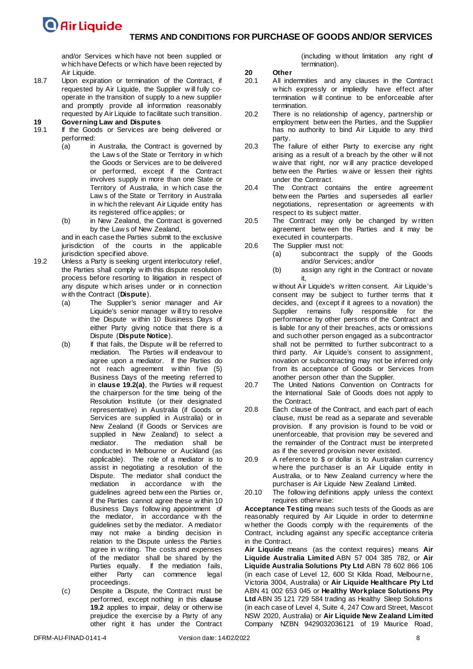and/or Services w hich have not been supplied or w hich have Defects or w hich have been rejected by Air Liquide.

18.7 Upon expiration or termination of the Contract, if requested by Air Liquide, the Supplier w ill fully cooperate in the transition of supply to a new supplier and promptly provide all information reasonably requested by Air Liquide to facilitate such transition.

### **19 Governing Law and Disputes**

- If the Goods or Services are being delivered or performed:
	- (a) in Australia, the Contract is governed by the Law s of the State or Territory in w hich the Goods or Services are to be delivered or performed, except if the Contract involves supply in more than one State or Territory of Australia, in w hich case the Law s of the State or Territory in Australia in w hich the relevant Air Liquide entity has its registered office applies; or
	- (b) in New Zealand, the Contract is governed by the Law s of New Zealand,

and in each case the Parties submit to the exclusive jurisdiction of the courts in the applicable jurisdiction specified above.

- <span id="page-7-1"></span><span id="page-7-0"></span>19.2 Unless a Party is seeking urgent interlocutory relief, the Parties shall comply w ith this dispute resolution process before resorting to litigation in respect of any dispute w hich arises under or in connection w ith the Contract (**Dispute**).
	- (a) The Supplier's senior manager and Air Liquide's senior manager w ill try to resolve the Dispute w ithin 10 Business Days of either Party giving notice that there is a Dispute (**Dispute Notice**).
	- (b) If that fails, the Dispute w ill be referred to mediation. The Parties w ill endeavour to agree upon a mediator. If the Parties do not reach agreement w ithin five (5) Business Days of the meeting referred to in **clause [19.2](#page-7-0)[\(a\)](#page-7-1)**, the Parties w ill request the chairperson for the time being of the Resolution Institute (or their designated representative) in Australia (if Goods or Services are supplied in Australia) or in New Zealand (if Goods or Services are supplied in New Zealand) to select a<br>mediator. The mediation shall be The mediation shall be conducted in Melbourne or Auckland (as applicable). The role of a mediator is to assist in negotiating a resolution of the Dispute. The mediator shall conduct the mediation in accordance w ith the guidelines agreed betw een the Parties or, if the Parties cannot agree these w ithin 10 Business Days follow ing appointment of the mediator, in accordance w ith the guidelines set by the mediator. A mediator may not make a binding decision in relation to the Dispute unless the Parties agree in w riting. The costs and expenses of the mediator shall be shared by the Parties equally. If the mediation fails, either Party can commence legal proceedings.
	- (c) Despite a Dispute, the Contract must be performed, except nothing in this **clause [19.2](#page-7-0)** applies to impair, delay or otherw ise prejudice the exercise by a Party of any other right it has under the Contract

(including w ithout limitation any right of termination).

## **20 Other**

- All indemnities and any clauses in the Contract w hich expressly or impliedly have effect after termination w ill continue to be enforceable after termination.
- 20.2 There is no relationship of agency, partnership or employment betw een the Parties, and the Supplier has no authority to bind Air Liquide to any third party.
- 20.3 The failure of either Party to exercise any right arising as a result of a breach by the other w ill not w aive that right, nor w ill any practice developed betw een the Parties w aive or lessen their rights under the Contract.
- 20.4 The Contract contains the entire agreement betw een the Parties and supersedes all earlier negotiations, representation or agreements w ith respect to its subject matter.
- 20.5 The Contract may only be changed by w ritten agreement betw een the Parties and it may be executed in counterparts.
- 20.6 The Supplier must not:
	- (a) subcontract the supply of the Goods and/or Services; and/or
	- (b) assign any right in the Contract or novate it,

w ithout Air Liquide's w ritten consent. Air Liquide's consent may be subject to further terms that it decides, and (except if it agrees to a novation) the Supplier remains fully responsible for the performance by other persons of the Contract and is liable for any of their breaches, acts or omissions and such other person engaged as a subcontractor shall not be permitted to further subcontract to a third party. Air Liquide's consent to assignment, novation or subcontracting may not be inferred only from its acceptance of Goods or Services from another person other than the Supplier.

- 20.7 The United Nations Convention on Contracts for the International Sale of Goods does not apply to the Contract.
- 20.8 Each clause of the Contract, and each part of each clause, must be read as a separate and severable provision. If any provision is found to be void or unenforceable, that provision may be severed and the remainder of the Contract must be interpreted as if the severed provision never existed.
- 20.9 A reference to \$ or dollar is to Australian currency w here the purchaser is an Air Liquide entity in Australia, or to New Zealand currency w here the purchaser is Air Liquide New Zealand Limited.
- 20.10 The follow ing definitions apply unless the context requires otherw ise:

**Acceptance Testing** means such tests of the Goods as are reasonably required by Air Liquide in order to determine w hether the Goods comply w ith the requirements of the Contract, including against any specific acceptance criteria in the Contract.

**Air Liquide** means (as the context requires) means **Air Liquide Australia Limited** ABN 57 004 385 782, or **Air Liquide Australia Solutions Pty Ltd** ABN 78 602 866 106 (in each case of Level 12, 600 St Kilda Road, Melbourne, Victoria 3004, Australia) or **Air Liquide Healthcare Pty Ltd** ABN 41 002 653 045 or **Healthy Workplace Solutions Pty Ltd** ABN 35 121 729 584 trading as Healthy Sleep Solutions (in each case of Level 4, Suite 4, 247 Cow ard Street, Mascot NSW 2020, Australia) or **Air Liquide New Zealand Limited**  Company NZBN 9429032036121 of 19 Maurice Road,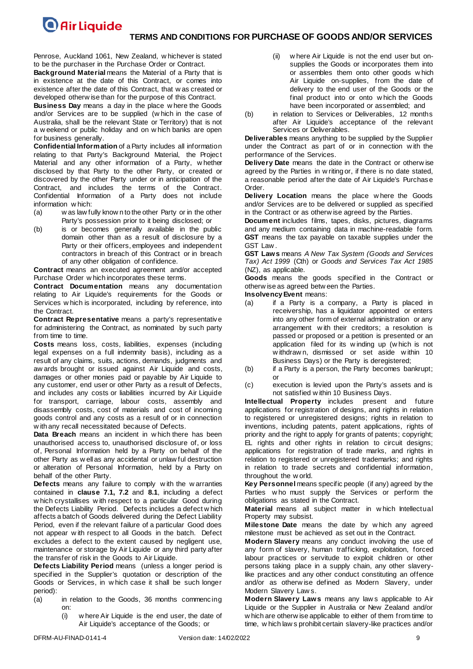#### **TERMS AND CONDITIONS FOR PURCHASE OF GOODS AND/OR SERVICES**

Penrose, Auckland 1061, New Zealand, w hichever is stated to be the purchaser in the Purchase Order or Contract.

**Background Material** means the Material of a Party that is in existence at the date of this Contract, or comes into existence after the date of this Contract, that w as created or developed otherw ise than for the purpose of this Contract.

**Business Day** means a day in the place w here the Goods and/or Services are to be supplied (w hich in the case of Australia, shall be the relevant State or Territory) that is not a w eekend or public holiday and on w hich banks are open for business generally.

**Confidential Information** of a Party includes all information relating to that Party's Background Material, the Project Material and any other information of a Party, w hether disclosed by that Party to the other Party, or created or discovered by the other Party under or in anticipation of the Contract, and includes the terms of the Contract. Confidential Information of a Party does not include information w hich:

- (a) w as law fully know n to the other Party or in the other Party's possession prior to it being disclosed; or
- (b) is or becomes generally available in the public domain other than as a result of disclosure by a Party or their officers, employees and independent contractors in breach of this Contract or in breach of any other obligation of confidence.

**Contract** means an executed agreement and/or accepted Purchase Order w hich incorporates these terms.

**Contract Documentation** means any documentation relating to Air Liquide's requirements for the Goods or Services w hich is incorporated, including by reference, into the Contract.

**Contract Representative** means a party's representative for administering the Contract, as nominated by such party from time to time.

**Costs** means loss, costs, liabilities, expenses (including legal expenses on a full indemnity basis), including as a result of any claims, suits, actions, demands, judgments and aw ards brought or issued against Air Liquide and costs, damages or other monies paid or payable by Air Liquide to any customer, end user or other Party as a result of Defects, and includes any costs or liabilities incurred by Air Liquide for transport, carriage, labour costs, assembly and disassembly costs, cost of materials and cost of incoming goods control and any costs as a result of or in connection w ith any recall necessitated because of Defects.

**Data Breach** means an incident in w hich there has been unauthorised access to, unauthorised disclosure of, or loss of, Personal Information held by a Party on behalf of the other Party as w ell as any accidental or unlaw ful destruction or alteration of Personal Information, held by a Party on behalf of the other Party.

**Defects** means any failure to comply w ith the w arranties contained in **clause [7.1,](#page-1-2) [7.2](#page-1-3)** and **[8.1](#page-1-4)**, including a defect w hich crystallises w ith respect to a particular Good during the Defects Liability Period. Defects includes a defect w hich affects a batch of Goods delivered during the Defect Liability Period, even if the relevant failure of a particular Good does not appear w ith respect to all Goods in the batch. Defect excludes a defect to the extent caused by negligent use, maintenance or storage by Air Liquide or any third party after the transfer of risk in the Goods to Air Liquide.

**Defects Liability Period** means (unless a longer period is specified in the Supplier's quotation or description of the Goods or Services, in w hich case it shall be such longer period):

- (a) in relation to the Goods, 36 months commencing on:
	- (i) w here Air Liquide is the end user, the date of Air Liquide's acceptance of the Goods; or
- (ii) w here Air Liquide is not the end user but onsupplies the Goods or incorporates them into or assembles them onto other goods w hich Air Liquide on-supplies, from the date of delivery to the end user of the Goods or the final product into or onto w hich the Goods have been incorporated or assembled; and
- (b) in relation to Services or Deliverables, 12 months after Air Liquide's acceptance of the relevant Services or Deliverables.

**Deliverables** means anything to be supplied by the Supplier under the Contract as part of or in connection w ith the performance of the Services.

**Delivery Date** means the date in the Contract or otherw ise agreed by the Parties in w riting or, if there is no date stated, a reasonable period after the date of Air Liquide's Purchase Order.

**Delivery Location** means the place w here the Goods and/or Services are to be delivered or supplied as specified in the Contract or as otherw ise agreed by the Parties.

**Document** includes films, tapes, disks, pictures, diagrams and any medium containing data in machine-readable form. **GST** means the tax payable on taxable supplies under the GST Law .

**GST Laws** means *A New Tax System (Goods and Services Tax) Act 1999* (Cth) or *Goods and Services Tax Act 1985*  (NZ), as applicable.

**Goods** means the goods specified in the Contract or otherw ise as agreed betw een the Parties.

- **Insolvency Event** means:
- (a) if a Party is a company, a Party is placed in receivership, has a liquidator appointed or enters into any other form of external administration or any arrangement w ith their creditors; a resolution is passed or proposed or a petition is presented or an application filed for its w inding up (w hich is not w ithdraw n, dismissed or set aside w ithin 10 Business Days) or the Party is deregistered;
- (b) if a Party is a person, the Party becomes bankrupt; or
- (c) execution is levied upon the Party's assets and is not satisfied w ithin 10 Business Days.

**Intellectual Property** includes present and future applications for registration of designs, and rights in relation to registered or unregistered designs; rights in relation to inventions, including patents, patent applications, rights of priority and the right to apply for grants of patents; copyright; EL rights and other rights in relation to circuit designs; applications for registration of trade marks, and rights in relation to registered or unregistered trademarks; and rights in relation to trade secrets and confidential information, throughout the w orld.

**Key Personnel** means specific people (if any) agreed by the Parties w ho must supply the Services or perform the obligations as stated in the Contract.

**Material** means all subject matter in w hich Intellectual Property may subsist.

**Milestone Date** means the date by w hich any agreed milestone must be achieved as set out in the Contract.

**Modern Slavery** means any conduct involving the use of any form of slavery, human trafficking, exploitation, forced labour practices or servitude to exploit children or other persons taking place in a supply chain, any other slaverylike practices and any other conduct constituting an offence and/or as otherw ise defined as Modern Slavery, under Modern Slavery Law s.

**Modern Slavery Laws** means any law s applicable to Air Liquide or the Supplier in Australia or New Zealand and/or w hich are otherw ise applicable to either of them from time to time, w hich law s prohibit certain slavery-like practices and/or